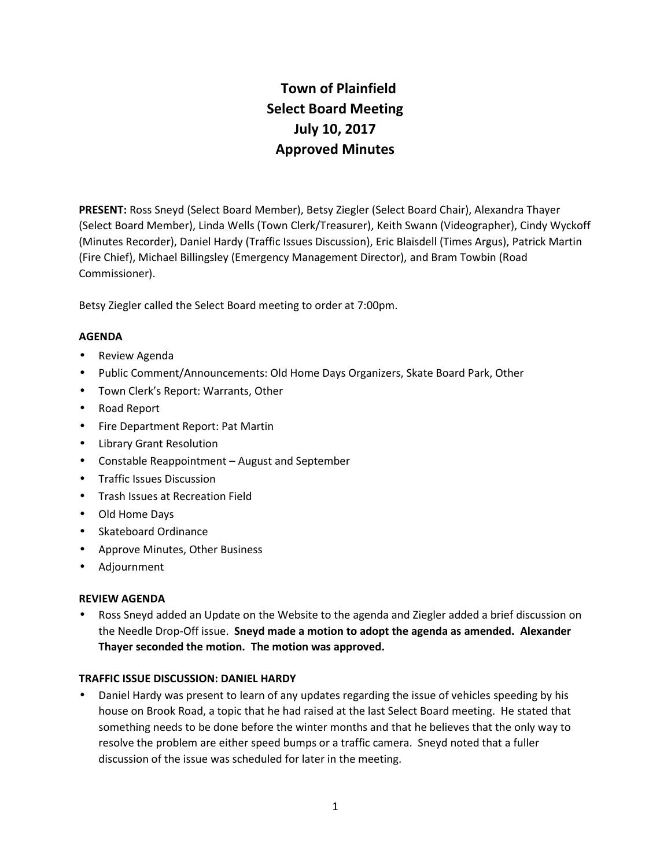# **Town of Plainfield Select Board Meeting July 10, 2017 Approved Minutes**

**PRESENT:** Ross Sneyd (Select Board Member), Betsy Ziegler (Select Board Chair), Alexandra Thayer (Select Board Member), Linda Wells (Town Clerk/Treasurer), Keith Swann (Videographer), Cindy Wyckoff (Minutes Recorder), Daniel Hardy (Traffic Issues Discussion), Eric Blaisdell (Times Argus), Patrick Martin (Fire Chief), Michael Billingsley (Emergency Management Director), and Bram Towbin (Road Commissioner).

Betsy Ziegler called the Select Board meeting to order at 7:00pm.

# **AGENDA**

- Review Agenda
- Public Comment/Announcements: Old Home Days Organizers, Skate Board Park, Other
- Town Clerk's Report: Warrants, Other
- Road Report
- Fire Department Report: Pat Martin
- Library Grant Resolution
- Constable Reappointment August and September
- **•** Traffic Issues Discussion
- **•** Trash Issues at Recreation Field
- Old Home Days
- Skateboard Ordinance
- Approve Minutes, Other Business
- Adjournment

# **REVIEW AGENDA**

 Ross Sneyd added an Update on the Website to the agenda and Ziegler added a brief discussion on the Needle Drop-Off issue. **Sneyd made a motion to adopt the agenda as amended. Alexander Thayer seconded the motion. The motion was approved.**

# **TRAFFIC ISSUE DISCUSSION: DANIEL HARDY**

 Daniel Hardy was present to learn of any updates regarding the issue of vehicles speeding by his house on Brook Road, a topic that he had raised at the last Select Board meeting. He stated that something needs to be done before the winter months and that he believes that the only way to resolve the problem are either speed bumps or a traffic camera. Sneyd noted that a fuller discussion of the issue was scheduled for later in the meeting.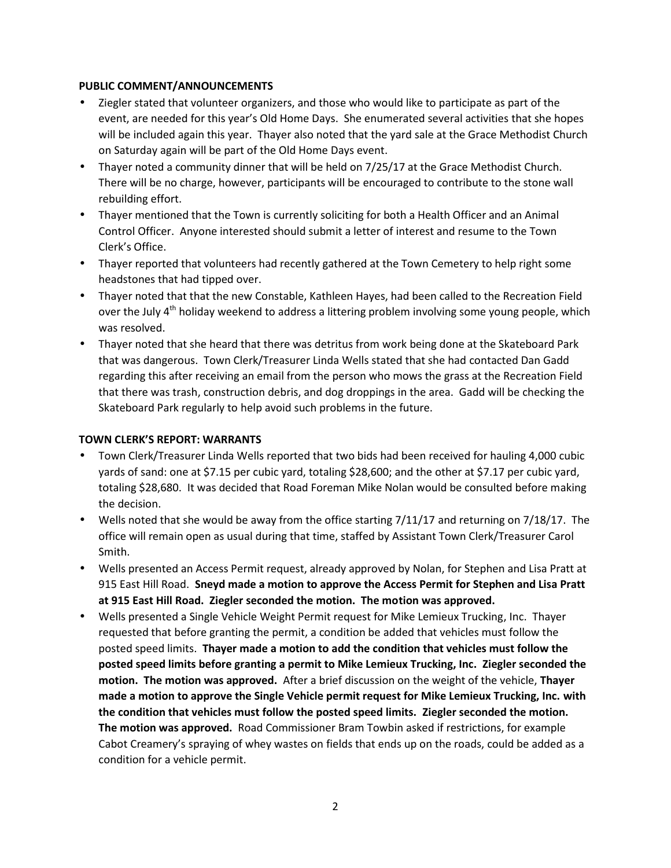# **PUBLIC COMMENT/ANNOUNCEMENTS**

- Ziegler stated that volunteer organizers, and those who would like to participate as part of the event, are needed for this year's Old Home Days. She enumerated several activities that she hopes will be included again this year. Thayer also noted that the yard sale at the Grace Methodist Church on Saturday again will be part of the Old Home Days event.
- Thayer noted a community dinner that will be held on 7/25/17 at the Grace Methodist Church. There will be no charge, however, participants will be encouraged to contribute to the stone wall rebuilding effort.
- Thayer mentioned that the Town is currently soliciting for both a Health Officer and an Animal Control Officer. Anyone interested should submit a letter of interest and resume to the Town Clerk's Office.
- Thayer reported that volunteers had recently gathered at the Town Cemetery to help right some headstones that had tipped over.
- Thayer noted that that the new Constable, Kathleen Hayes, had been called to the Recreation Field over the July 4<sup>th</sup> holiday weekend to address a littering problem involving some young people, which was resolved.
- Thayer noted that she heard that there was detritus from work being done at the Skateboard Park that was dangerous. Town Clerk/Treasurer Linda Wells stated that she had contacted Dan Gadd regarding this after receiving an email from the person who mows the grass at the Recreation Field that there was trash, construction debris, and dog droppings in the area. Gadd will be checking the Skateboard Park regularly to help avoid such problems in the future.

# **TOWN CLERK'S REPORT: WARRANTS**

- Town Clerk/Treasurer Linda Wells reported that two bids had been received for hauling 4,000 cubic yards of sand: one at \$7.15 per cubic yard, totaling \$28,600; and the other at \$7.17 per cubic yard, totaling \$28,680. It was decided that Road Foreman Mike Nolan would be consulted before making the decision.
- Wells noted that she would be away from the office starting 7/11/17 and returning on 7/18/17. The office will remain open as usual during that time, staffed by Assistant Town Clerk/Treasurer Carol Smith.
- Wells presented an Access Permit request, already approved by Nolan, for Stephen and Lisa Pratt at 915 East Hill Road. **Sneyd made a motion to approve the Access Permit for Stephen and Lisa Pratt at 915 East Hill Road. Ziegler seconded the motion. The motion was approved.**
- Wells presented a Single Vehicle Weight Permit request for Mike Lemieux Trucking, Inc. Thayer requested that before granting the permit, a condition be added that vehicles must follow the posted speed limits. **Thayer made a motion to add the condition that vehicles must follow the posted speed limits before granting a permit to Mike Lemieux Trucking, Inc. Ziegler seconded the motion. The motion was approved.** After a brief discussion on the weight of the vehicle, **Thayer made a motion to approve the Single Vehicle permit request for Mike Lemieux Trucking, Inc. with the condition that vehicles must follow the posted speed limits. Ziegler seconded the motion. The motion was approved.** Road Commissioner Bram Towbin asked if restrictions, for example Cabot Creamery's spraying of whey wastes on fields that ends up on the roads, could be added as a condition for a vehicle permit.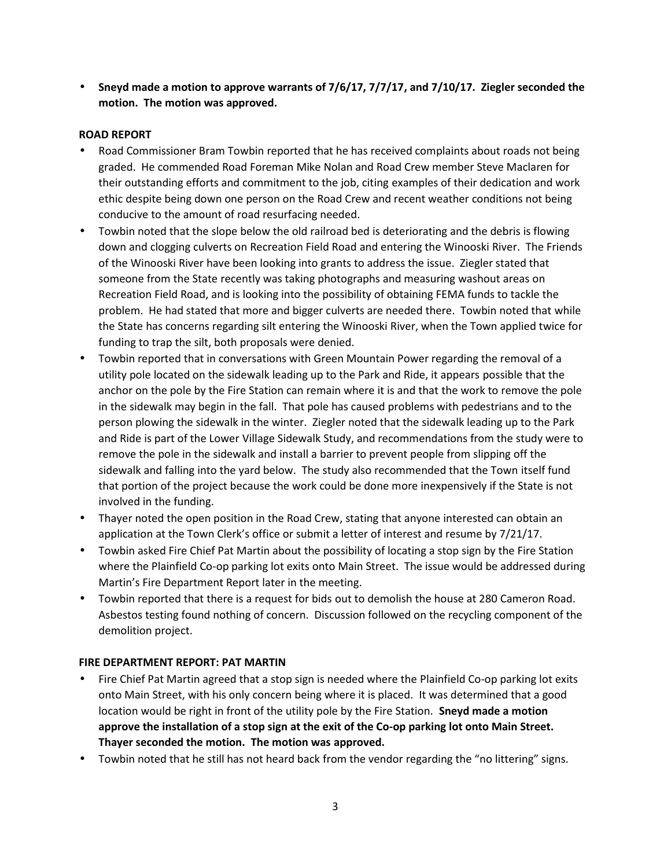**Sneyd made a motion to approve warrants of 7/6/17, 7/7/17, and 7/10/17. Ziegler seconded the motion. The motion was approved.**

# **ROAD REPORT**

- Road Commissioner Bram Towbin reported that he has received complaints about roads not being graded. He commended Road Foreman Mike Nolan and Road Crew member Steve Maclaren for their outstanding efforts and commitment to the job, citing examples of their dedication and work ethic despite being down one person on the Road Crew and recent weather conditions not being conducive to the amount of road resurfacing needed.
- Towbin noted that the slope below the old railroad bed is deteriorating and the debris is flowing down and clogging culverts on Recreation Field Road and entering the Winooski River. The Friends of the Winooski River have been looking into grants to address the issue. Ziegler stated that someone from the State recently was taking photographs and measuring washout areas on Recreation Field Road, and is looking into the possibility of obtaining FEMA funds to tackle the problem. He had stated that more and bigger culverts are needed there. Towbin noted that while the State has concerns regarding silt entering the Winooski River, when the Town applied twice for funding to trap the silt, both proposals were denied.
- Towbin reported that in conversations with Green Mountain Power regarding the removal of a utility pole located on the sidewalk leading up to the Park and Ride, it appears possible that the anchor on the pole by the Fire Station can remain where it is and that the work to remove the pole in the sidewalk may begin in the fall. That pole has caused problems with pedestrians and to the person plowing the sidewalk in the winter. Ziegler noted that the sidewalk leading up to the Park and Ride is part of the Lower Village Sidewalk Study, and recommendations from the study were to remove the pole in the sidewalk and install a barrier to prevent people from slipping off the sidewalk and falling into the yard below. The study also recommended that the Town itself fund that portion of the project because the work could be done more inexpensively if the State is not involved in the funding.
- Thayer noted the open position in the Road Crew, stating that anyone interested can obtain an application at the Town Clerk's office or submit a letter of interest and resume by 7/21/17.
- Towbin asked Fire Chief Pat Martin about the possibility of locating a stop sign by the Fire Station where the Plainfield Co-op parking lot exits onto Main Street. The issue would be addressed during Martin's Fire Department Report later in the meeting.
- Towbin reported that there is a request for bids out to demolish the house at 280 Cameron Road. Asbestos testing found nothing of concern. Discussion followed on the recycling component of the demolition project.

# **FIRE DEPARTMENT REPORT: PAT MARTIN**

- Fire Chief Pat Martin agreed that a stop sign is needed where the Plainfield Co-op parking lot exits onto Main Street, with his only concern being where it is placed. It was determined that a good location would be right in front of the utility pole by the Fire Station. **Sneyd made a motion approve the installation of a stop sign at the exit of the Co-op parking lot onto Main Street. Thayer seconded the motion. The motion was approved.**
- Towbin noted that he still has not heard back from the vendor regarding the "no littering" signs.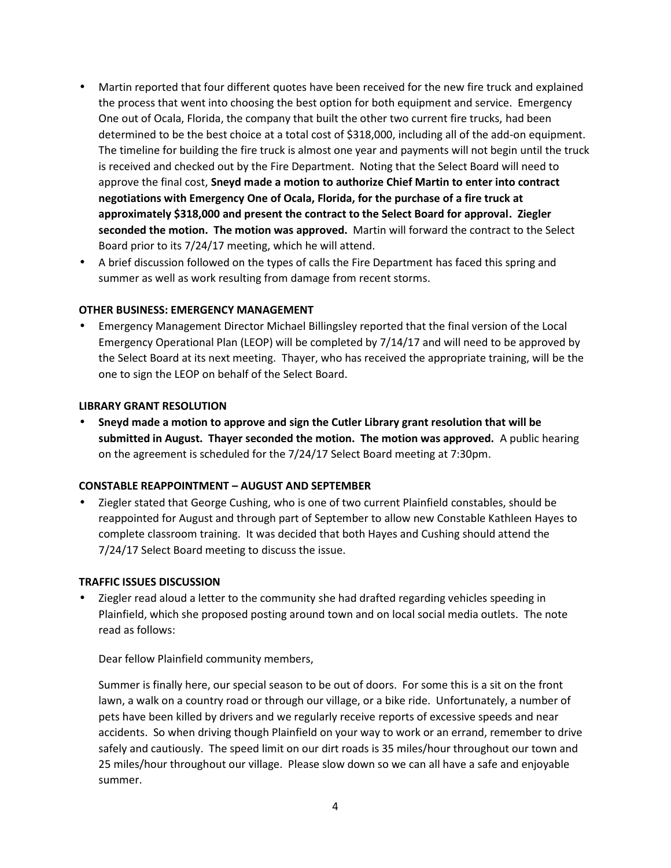- Martin reported that four different quotes have been received for the new fire truck and explained the process that went into choosing the best option for both equipment and service. Emergency One out of Ocala, Florida, the company that built the other two current fire trucks, had been determined to be the best choice at a total cost of \$318,000, including all of the add-on equipment. The timeline for building the fire truck is almost one year and payments will not begin until the truck is received and checked out by the Fire Department. Noting that the Select Board will need to approve the final cost, **Sneyd made a motion to authorize Chief Martin to enter into contract negotiations with Emergency One of Ocala, Florida, for the purchase of a fire truck at approximately \$318,000 and present the contract to the Select Board for approval. Ziegler seconded the motion. The motion was approved.** Martin will forward the contract to the Select Board prior to its 7/24/17 meeting, which he will attend.
- A brief discussion followed on the types of calls the Fire Department has faced this spring and summer as well as work resulting from damage from recent storms.

# **OTHER BUSINESS: EMERGENCY MANAGEMENT**

 Emergency Management Director Michael Billingsley reported that the final version of the Local Emergency Operational Plan (LEOP) will be completed by 7/14/17 and will need to be approved by the Select Board at its next meeting. Thayer, who has received the appropriate training, will be the one to sign the LEOP on behalf of the Select Board.

#### **LIBRARY GRANT RESOLUTION**

 **Sneyd made a motion to approve and sign the Cutler Library grant resolution that will be submitted in August. Thayer seconded the motion. The motion was approved.** A public hearing on the agreement is scheduled for the 7/24/17 Select Board meeting at 7:30pm.

#### **CONSTABLE REAPPOINTMENT – AUGUST AND SEPTEMBER**

 Ziegler stated that George Cushing, who is one of two current Plainfield constables, should be reappointed for August and through part of September to allow new Constable Kathleen Hayes to complete classroom training. It was decided that both Hayes and Cushing should attend the 7/24/17 Select Board meeting to discuss the issue.

#### **TRAFFIC ISSUES DISCUSSION**

 Ziegler read aloud a letter to the community she had drafted regarding vehicles speeding in Plainfield, which she proposed posting around town and on local social media outlets. The note read as follows:

Dear fellow Plainfield community members,

Summer is finally here, our special season to be out of doors. For some this is a sit on the front lawn, a walk on a country road or through our village, or a bike ride. Unfortunately, a number of pets have been killed by drivers and we regularly receive reports of excessive speeds and near accidents. So when driving though Plainfield on your way to work or an errand, remember to drive safely and cautiously. The speed limit on our dirt roads is 35 miles/hour throughout our town and 25 miles/hour throughout our village. Please slow down so we can all have a safe and enjoyable summer.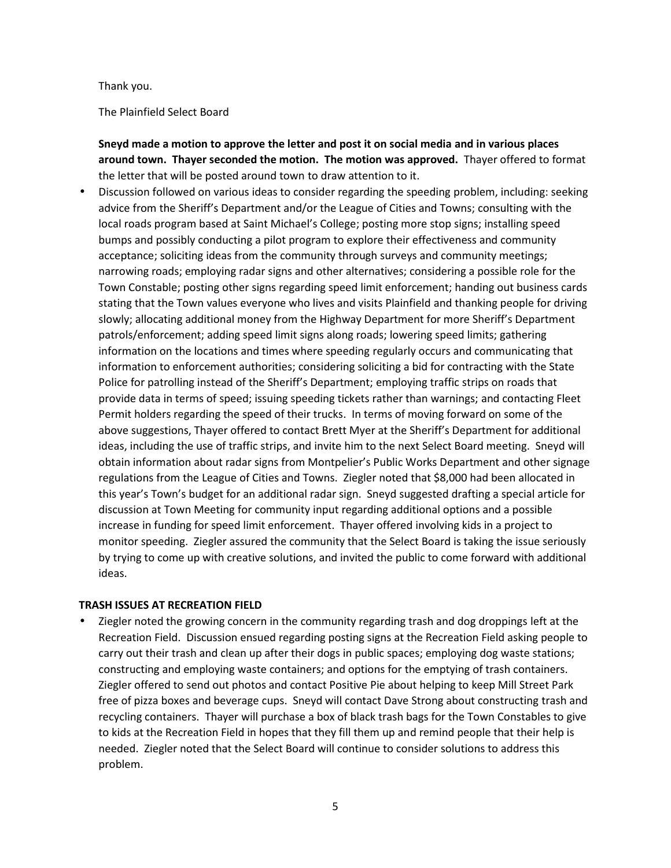#### Thank you.

The Plainfield Select Board

**Sneyd made a motion to approve the letter and post it on social media and in various places around town. Thayer seconded the motion. The motion was approved.** Thayer offered to format the letter that will be posted around town to draw attention to it.

 Discussion followed on various ideas to consider regarding the speeding problem, including: seeking advice from the Sheriff's Department and/or the League of Cities and Towns; consulting with the local roads program based at Saint Michael's College; posting more stop signs; installing speed bumps and possibly conducting a pilot program to explore their effectiveness and community acceptance; soliciting ideas from the community through surveys and community meetings; narrowing roads; employing radar signs and other alternatives; considering a possible role for the Town Constable; posting other signs regarding speed limit enforcement; handing out business cards stating that the Town values everyone who lives and visits Plainfield and thanking people for driving slowly; allocating additional money from the Highway Department for more Sheriff's Department patrols/enforcement; adding speed limit signs along roads; lowering speed limits; gathering information on the locations and times where speeding regularly occurs and communicating that information to enforcement authorities; considering soliciting a bid for contracting with the State Police for patrolling instead of the Sheriff's Department; employing traffic strips on roads that provide data in terms of speed; issuing speeding tickets rather than warnings; and contacting Fleet Permit holders regarding the speed of their trucks. In terms of moving forward on some of the above suggestions, Thayer offered to contact Brett Myer at the Sheriff's Department for additional ideas, including the use of traffic strips, and invite him to the next Select Board meeting. Sneyd will obtain information about radar signs from Montpelier's Public Works Department and other signage regulations from the League of Cities and Towns. Ziegler noted that \$8,000 had been allocated in this year's Town's budget for an additional radar sign. Sneyd suggested drafting a special article for discussion at Town Meeting for community input regarding additional options and a possible increase in funding for speed limit enforcement. Thayer offered involving kids in a project to monitor speeding. Ziegler assured the community that the Select Board is taking the issue seriously by trying to come up with creative solutions, and invited the public to come forward with additional ideas.

#### **TRASH ISSUES AT RECREATION FIELD**

 Ziegler noted the growing concern in the community regarding trash and dog droppings left at the Recreation Field. Discussion ensued regarding posting signs at the Recreation Field asking people to carry out their trash and clean up after their dogs in public spaces; employing dog waste stations; constructing and employing waste containers; and options for the emptying of trash containers. Ziegler offered to send out photos and contact Positive Pie about helping to keep Mill Street Park free of pizza boxes and beverage cups. Sneyd will contact Dave Strong about constructing trash and recycling containers. Thayer will purchase a box of black trash bags for the Town Constables to give to kids at the Recreation Field in hopes that they fill them up and remind people that their help is needed. Ziegler noted that the Select Board will continue to consider solutions to address this problem.